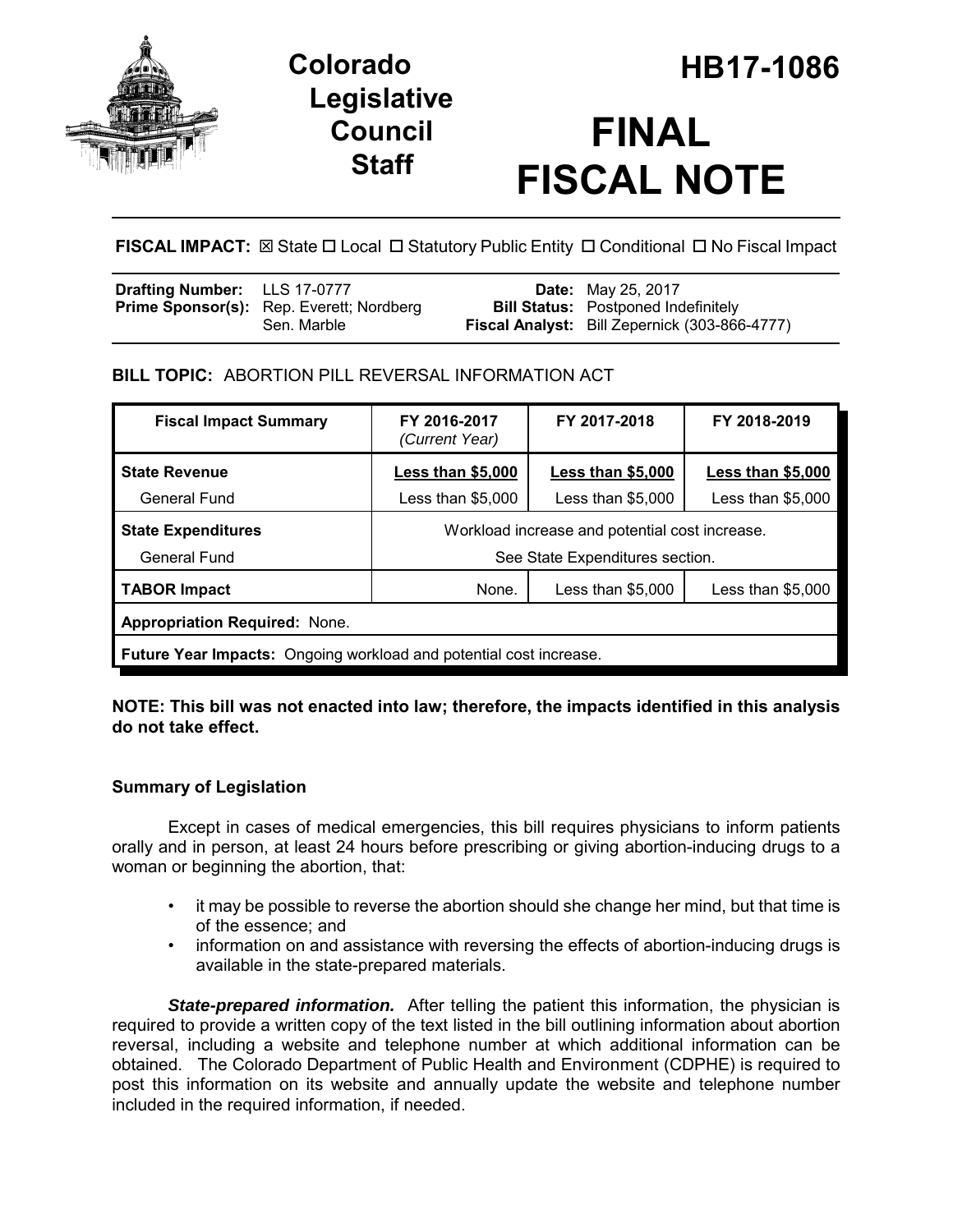

## **Legislative Council Staff**

# **FINAL FISCAL NOTE**

**FISCAL IMPACT:** ⊠ State  $\Box$  Local  $\Box$  Statutory Public Entity  $\Box$  Conditional  $\Box$  No Fiscal Impact

| <b>Drafting Number:</b> LLS 17-0777 |                                                 | <b>Date:</b> May 25, 2017                            |
|-------------------------------------|-------------------------------------------------|------------------------------------------------------|
|                                     | <b>Prime Sponsor(s):</b> Rep. Everett; Nordberg | <b>Bill Status:</b> Postponed Indefinitely           |
|                                     | Sen. Marble                                     | <b>Fiscal Analyst:</b> Bill Zepernick (303-866-4777) |

## **BILL TOPIC:** ABORTION PILL REVERSAL INFORMATION ACT

| <b>Fiscal Impact Summary</b>                                       | FY 2016-2017<br>(Current Year)                 | FY 2017-2018       | FY 2018-2019       |  |  |
|--------------------------------------------------------------------|------------------------------------------------|--------------------|--------------------|--|--|
| <b>State Revenue</b>                                               | Less than $$5,000$                             | Less than $$5,000$ | Less than \$5,000  |  |  |
| General Fund                                                       | Less than \$5,000                              | Less than \$5,000  | Less than $$5,000$ |  |  |
| <b>State Expenditures</b>                                          | Workload increase and potential cost increase. |                    |                    |  |  |
| General Fund                                                       | See State Expenditures section.                |                    |                    |  |  |
| <b>TABOR Impact</b>                                                | None.                                          | Less than $$5,000$ | Less than $$5,000$ |  |  |
| <b>Appropriation Required: None.</b>                               |                                                |                    |                    |  |  |
| Future Year Impacts: Ongoing workload and potential cost increase. |                                                |                    |                    |  |  |

### **NOTE: This bill was not enacted into law; therefore, the impacts identified in this analysis do not take effect.**

## **Summary of Legislation**

Except in cases of medical emergencies, this bill requires physicians to inform patients orally and in person, at least 24 hours before prescribing or giving abortion-inducing drugs to a woman or beginning the abortion, that:

- it may be possible to reverse the abortion should she change her mind, but that time is of the essence; and
- information on and assistance with reversing the effects of abortion-inducing drugs is available in the state-prepared materials.

*State-prepared information.* After telling the patient this information, the physician is required to provide a written copy of the text listed in the bill outlining information about abortion reversal, including a website and telephone number at which additional information can be obtained. The Colorado Department of Public Health and Environment (CDPHE) is required to post this information on its website and annually update the website and telephone number included in the required information, if needed.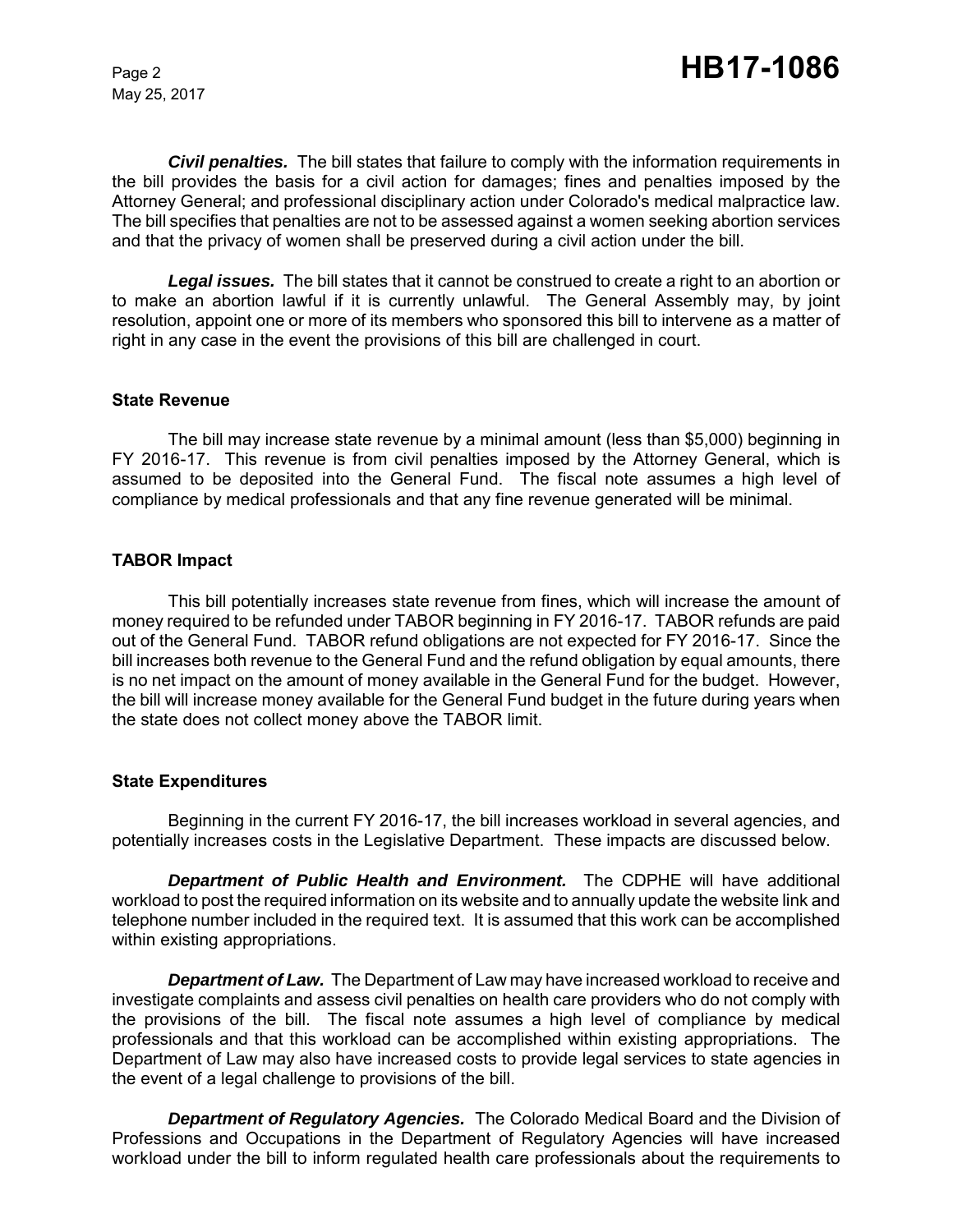May 25, 2017

*Civil penalties.* The bill states that failure to comply with the information requirements in the bill provides the basis for a civil action for damages; fines and penalties imposed by the Attorney General; and professional disciplinary action under Colorado's medical malpractice law. The bill specifies that penalties are not to be assessed against a women seeking abortion services and that the privacy of women shall be preserved during a civil action under the bill.

*Legal issues.* The bill states that it cannot be construed to create a right to an abortion or to make an abortion lawful if it is currently unlawful. The General Assembly may, by joint resolution, appoint one or more of its members who sponsored this bill to intervene as a matter of right in any case in the event the provisions of this bill are challenged in court.

#### **State Revenue**

The bill may increase state revenue by a minimal amount (less than \$5,000) beginning in FY 2016-17. This revenue is from civil penalties imposed by the Attorney General, which is assumed to be deposited into the General Fund. The fiscal note assumes a high level of compliance by medical professionals and that any fine revenue generated will be minimal.

#### **TABOR Impact**

This bill potentially increases state revenue from fines, which will increase the amount of money required to be refunded under TABOR beginning in FY 2016-17. TABOR refunds are paid out of the General Fund. TABOR refund obligations are not expected for FY 2016-17. Since the bill increases both revenue to the General Fund and the refund obligation by equal amounts, there is no net impact on the amount of money available in the General Fund for the budget. However, the bill will increase money available for the General Fund budget in the future during years when the state does not collect money above the TABOR limit.

#### **State Expenditures**

Beginning in the current FY 2016-17, the bill increases workload in several agencies, and potentially increases costs in the Legislative Department. These impacts are discussed below.

*Department of Public Health and Environment.* The CDPHE will have additional workload to post the required information on its website and to annually update the website link and telephone number included in the required text. It is assumed that this work can be accomplished within existing appropriations.

*Department of Law.* The Department of Law may have increased workload to receive and investigate complaints and assess civil penalties on health care providers who do not comply with the provisions of the bill. The fiscal note assumes a high level of compliance by medical professionals and that this workload can be accomplished within existing appropriations. The Department of Law may also have increased costs to provide legal services to state agencies in the event of a legal challenge to provisions of the bill.

*Department of Regulatory Agencies.* The Colorado Medical Board and the Division of Professions and Occupations in the Department of Regulatory Agencies will have increased workload under the bill to inform regulated health care professionals about the requirements to